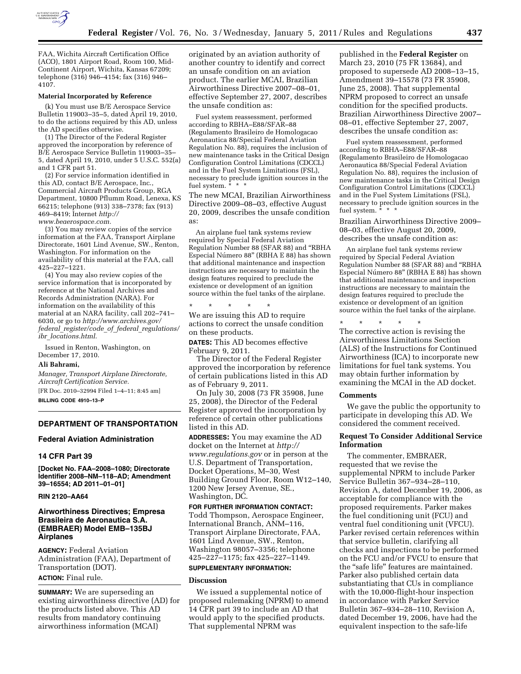

FAA, Wichita Aircraft Certification Office (ACO), 1801 Airport Road, Room 100, Mid-Continent Airport, Wichita, Kansas 67209; telephone (316) 946–4154; fax (316) 946– 4107.

#### **Material Incorporated by Reference**

(k) You must use B/E Aerospace Service Bulletin 119003–35–5, dated April 19, 2010, to do the actions required by this AD, unless the AD specifies otherwise.

(1) The Director of the Federal Register approved the incorporation by reference of B/E Aerospace Service Bulletin 119003–35– 5, dated April 19, 2010, under 5 U.S.C. 552(a) and 1 CFR part 51.

(2) For service information identified in this AD, contact B/E Aerospace, Inc., Commercial Aircraft Products Group, RGA Department, 10800 Pflumm Road, Lenexa, KS 66215; telephone (913) 338–7378; fax (913) 469–8419; Internet *[http://](http://www.beaerospace.com)  [www.beaerospace.com.](http://www.beaerospace.com)* 

(3) You may review copies of the service information at the FAA, Transport Airplane Directorate, 1601 Lind Avenue, SW., Renton, Washington. For information on the availability of this material at the FAA, call 425–227–1221.

(4) You may also review copies of the service information that is incorporated by reference at the National Archives and Records Administration (NARA). For information on the availability of this material at an NARA facility, call 202–741– 6030, or go to *[http://www.archives.gov/](http://www.archives.gov/federal_register/code_of_federal_regulations/ibr_locations.html)  federal*\_*[register/code](http://www.archives.gov/federal_register/code_of_federal_regulations/ibr_locations.html)*\_*of*\_*federal*\_*regulations/ ibr*\_*[locations.html](http://www.archives.gov/federal_register/code_of_federal_regulations/ibr_locations.html)*.

Issued in Renton, Washington, on December 17, 2010.

#### **Ali Bahrami,**

*Manager, Transport Airplane Directorate, Aircraft Certification Service.* 

[FR Doc. 2010–32994 Filed 1–4–11; 8:45 am] **BILLING CODE 4910–13–P** 

## **DEPARTMENT OF TRANSPORTATION**

#### **Federal Aviation Administration**

## **14 CFR Part 39**

**[Docket No. FAA–2008–1080; Directorate Identifier 2008–NM–118–AD; Amendment 39–16554; AD 2011–01–01]** 

#### **RIN 2120–AA64**

## **Airworthiness Directives; Empresa Brasileira de Aeronautica S.A. (EMBRAER) Model EMB–135BJ Airplanes**

**AGENCY:** Federal Aviation Administration (FAA), Department of Transportation (DOT). **ACTION:** Final rule.

**SUMMARY:** We are superseding an existing airworthiness directive (AD) for the products listed above. This AD results from mandatory continuing airworthiness information (MCAI)

originated by an aviation authority of another country to identify and correct an unsafe condition on an aviation product. The earlier MCAI, Brazilian Airworthiness Directive 2007–08–01, effective September 27, 2007, describes the unsafe condition as:

Fuel system reassessment, performed according to RBHA–E88/SFAR–88 (Regulamento Brasileiro de Homologacao Aeronautica 88/Special Federal Aviation Regulation No. 88), requires the inclusion of new maintenance tasks in the Critical Design Configuration Control Limitations (CDCCL) and in the Fuel System Limitations (FSL), necessary to preclude ignition sources in the fuel system. \*

The new MCAI, Brazilian Airworthiness Directive 2009–08–03, effective August 20, 2009, describes the unsafe condition as:

An airplane fuel tank systems review required by Special Federal Aviation Regulation Number 88 (SFAR 88) and ''RBHA Especial Número 88" (RBHA E 88) has shown that additional maintenance and inspection instructions are necessary to maintain the design features required to preclude the existence or development of an ignition source within the fuel tanks of the airplane.

\* \* \* \* \* We are issuing this AD to require actions to correct the unsafe condition on these products.

**DATES:** This AD becomes effective February 9, 2011.

The Director of the Federal Register approved the incorporation by reference of certain publications listed in this AD as of February 9, 2011.

On July 30, 2008 (73 FR 35908, June 25, 2008), the Director of the Federal Register approved the incorporation by reference of certain other publications listed in this AD.

**ADDRESSES:** You may examine the AD docket on the Internet at *[http://](http://www.regulations.gov)  [www.regulations.gov](http://www.regulations.gov)* or in person at the U.S. Department of Transportation, Docket Operations, M–30, West Building Ground Floor, Room W12–140, 1200 New Jersey Avenue, SE., Washington, DC.

**FOR FURTHER INFORMATION CONTACT:**  Todd Thompson, Aerospace Engineer, International Branch, ANM–116, Transport Airplane Directorate, FAA, 1601 Lind Avenue, SW., Renton, Washington 98057–3356; telephone 425–227–1175; fax 425–227–1149.

## **SUPPLEMENTARY INFORMATION:**

#### **Discussion**

We issued a supplemental notice of proposed rulemaking (NPRM) to amend 14 CFR part 39 to include an AD that would apply to the specified products. That supplemental NPRM was

published in the **Federal Register** on March 23, 2010 (75 FR 13684), and proposed to supersede AD 2008–13–15, Amendment 39–15578 (73 FR 35908, June 25, 2008). That supplemental NPRM proposed to correct an unsafe condition for the specified products. Brazilian Airworthiness Directive 2007– 08–01, effective September 27, 2007, describes the unsafe condition as:

Fuel system reassessment, performed according to RBHA–E88/SFAR–88 (Regulamento Brasileiro de Homologacao Aeronautica 88/Special Federal Aviation Regulation No. 88), requires the inclusion of new maintenance tasks in the Critical Design Configuration Control Limitations (CDCCL) and in the Fuel System Limitations (FSL), necessary to preclude ignition sources in the fuel system. \* \* \*

Brazilian Airworthiness Directive 2009– 08–03, effective August 20, 2009, describes the unsafe condition as:

An airplane fuel tank systems review required by Special Federal Aviation Regulation Number 88 (SFAR 88) and ''RBHA Especial Número 88" (RBHA E 88) has shown that additional maintenance and inspection instructions are necessary to maintain the design features required to preclude the existence or development of an ignition source within the fuel tanks of the airplane.

\* \* \* \* \*

The corrective action is revising the Airworthiness Limitations Section (ALS) of the Instructions for Continued Airworthiness (ICA) to incorporate new limitations for fuel tank systems. You may obtain further information by examining the MCAI in the AD docket.

#### **Comments**

We gave the public the opportunity to participate in developing this AD. We considered the comment received.

#### **Request To Consider Additional Service Information**

The commenter, EMBRAER, requested that we revise the supplemental NPRM to include Parker Service Bulletin 367–934–28–110, Revision A, dated December 19, 2006, as acceptable for compliance with the proposed requirements. Parker makes the fuel conditioning unit (FCU) and ventral fuel conditioning unit (VFCU). Parker revised certain references within that service bulletin, clarifying all checks and inspections to be performed on the FCU and/or FVCU to ensure that the "safe life" features are maintained. Parker also published certain data substantiating that CUs in compliance with the 10,000-flight-hour inspection in accordance with Parker Service Bulletin 367–934–28–110, Revision A, dated December 19, 2006, have had the equivalent inspection to the safe-life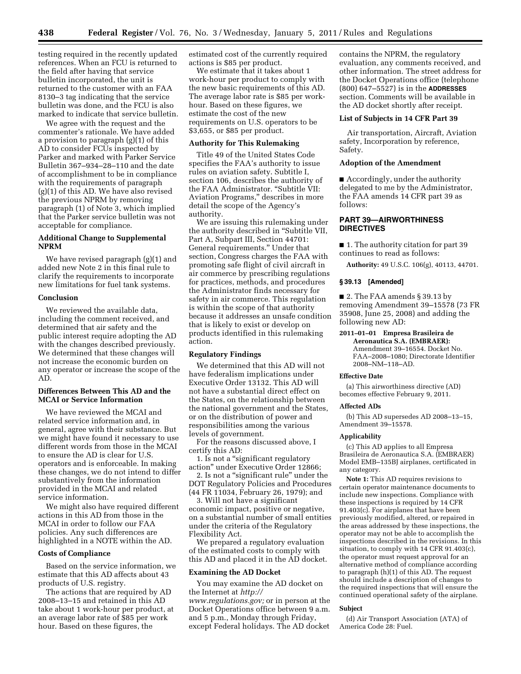testing required in the recently updated references. When an FCU is returned to the field after having that service bulletin incorporated, the unit is returned to the customer with an FAA 8130–3 tag indicating that the service bulletin was done, and the FCU is also marked to indicate that service bulletin.

We agree with the request and the commenter's rationale. We have added a provision to paragraph (g)(1) of this AD to consider FCUs inspected by Parker and marked with Parker Service Bulletin 367–934–28–110 and the date of accomplishment to be in compliance with the requirements of paragraph (g)(1) of this AD. We have also revised the previous NPRM by removing paragraph (1) of Note 3, which implied that the Parker service bulletin was not acceptable for compliance.

## **Additional Change to Supplemental NPRM**

We have revised paragraph (g)(1) and added new Note 2 in this final rule to clarify the requirements to incorporate new limitations for fuel tank systems.

## **Conclusion**

We reviewed the available data, including the comment received, and determined that air safety and the public interest require adopting the AD with the changes described previously. We determined that these changes will not increase the economic burden on any operator or increase the scope of the AD.

## **Differences Between This AD and the MCAI or Service Information**

We have reviewed the MCAI and related service information and, in general, agree with their substance. But we might have found it necessary to use different words from those in the MCAI to ensure the AD is clear for U.S. operators and is enforceable. In making these changes, we do not intend to differ substantively from the information provided in the MCAI and related service information.

We might also have required different actions in this AD from those in the MCAI in order to follow our FAA policies. Any such differences are highlighted in a NOTE within the AD.

#### **Costs of Compliance**

Based on the service information, we estimate that this AD affects about 43 products of U.S. registry.

The actions that are required by AD 2008–13–15 and retained in this AD take about 1 work-hour per product, at an average labor rate of \$85 per work hour. Based on these figures, the

estimated cost of the currently required actions is \$85 per product.

We estimate that it takes about 1 work-hour per product to comply with the new basic requirements of this AD. The average labor rate is \$85 per workhour. Based on these figures, we estimate the cost of the new requirements on U.S. operators to be \$3,655, or \$85 per product.

## **Authority for This Rulemaking**

Title 49 of the United States Code specifies the FAA's authority to issue rules on aviation safety. Subtitle I, section 106, describes the authority of the FAA Administrator. ''Subtitle VII: Aviation Programs,'' describes in more detail the scope of the Agency's authority.

We are issuing this rulemaking under the authority described in ''Subtitle VII, Part A, Subpart III, Section 44701: General requirements.'' Under that section, Congress charges the FAA with promoting safe flight of civil aircraft in air commerce by prescribing regulations for practices, methods, and procedures the Administrator finds necessary for safety in air commerce. This regulation is within the scope of that authority because it addresses an unsafe condition that is likely to exist or develop on products identified in this rulemaking action.

## **Regulatory Findings**

We determined that this AD will not have federalism implications under Executive Order 13132. This AD will not have a substantial direct effect on the States, on the relationship between the national government and the States, or on the distribution of power and responsibilities among the various levels of government.

For the reasons discussed above, I certify this AD:

1. Is not a ''significant regulatory action'' under Executive Order 12866;

2. Is not a ''significant rule'' under the DOT Regulatory Policies and Procedures (44 FR 11034, February 26, 1979); and

3. Will not have a significant economic impact, positive or negative, on a substantial number of small entities under the criteria of the Regulatory Flexibility Act.

We prepared a regulatory evaluation of the estimated costs to comply with this AD and placed it in the AD docket.

#### **Examining the AD Docket**

You may examine the AD docket on the Internet at *[http://](http://www.regulations.gov)  [www.regulations.gov;](http://www.regulations.gov)* or in person at the Docket Operations office between 9 a.m. and 5 p.m., Monday through Friday, except Federal holidays. The AD docket

contains the NPRM, the regulatory evaluation, any comments received, and other information. The street address for the Docket Operations office (telephone (800) 647–5527) is in the **ADDRESSES** section. Comments will be available in the AD docket shortly after receipt.

## **List of Subjects in 14 CFR Part 39**

Air transportation, Aircraft, Aviation safety, Incorporation by reference, Safety.

## **Adoption of the Amendment**

■ Accordingly, under the authority delegated to me by the Administrator, the FAA amends 14 CFR part 39 as follows:

# **PART 39—AIRWORTHINESS DIRECTIVES**

■ 1. The authority citation for part 39 continues to read as follows:

**Authority:** 49 U.S.C. 106(g), 40113, 44701.

## **§ 39.13 [Amended]**

■ 2. The FAA amends § 39.13 by removing Amendment 39–15578 (73 FR 35908, June 25, 2008) and adding the following new AD:

# **2011–01–01 Empresa Brasileira de**

**Aeronautica S.A. (EMBRAER):**  Amendment 39–16554. Docket No. FAA–2008–1080; Directorate Identifier 2008–NM–118–AD.

#### **Effective Date**

(a) This airworthiness directive (AD) becomes effective February 9, 2011.

## **Affected ADs**

(b) This AD supersedes AD 2008–13–15, Amendment 39–15578.

# **Applicability**

(c) This AD applies to all Empresa Brasileira de Aeronautica S.A. (EMBRAER) Model EMB–135BJ airplanes, certificated in any category.

**Note 1:** This AD requires revisions to certain operator maintenance documents to include new inspections. Compliance with these inspections is required by 14 CFR 91.403(c). For airplanes that have been previously modified, altered, or repaired in the areas addressed by these inspections, the operator may not be able to accomplish the inspections described in the revisions. In this situation, to comply with 14 CFR 91.403(c), the operator must request approval for an alternative method of compliance according to paragraph (h)(1) of this AD. The request should include a description of changes to the required inspections that will ensure the continued operational safety of the airplane.

## **Subject**

(d) Air Transport Association (ATA) of America Code 28: Fuel.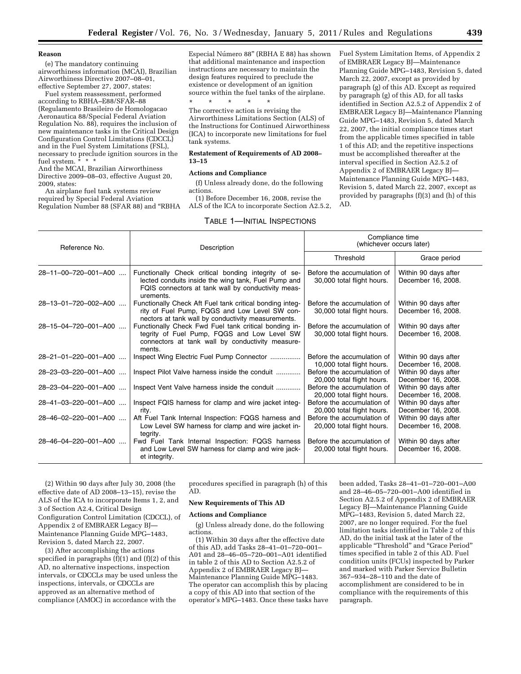#### **Reason**

(e) The mandatory continuing airworthiness information (MCAI), Brazilian Airworthiness Directive 2007–08–01, effective September 27, 2007, states:

Fuel system reassessment, performed according to RBHA–E88/SFAR–88 (Regulamento Brasileiro de Homologacao Aeronautica 88/Special Federal Aviation Regulation No. 88), requires the inclusion of new maintenance tasks in the Critical Design Configuration Control Limitations (CDCCL) and in the Fuel System Limitations (FSL), necessary to preclude ignition sources in the fuel system. \* \* \*

And the MCAI, Brazilian Airworthiness Directive 2009–08–03, effective August 20, 2009, states:

An airplane fuel tank systems review required by Special Federal Aviation Regulation Number 88 (SFAR 88) and ''RBHA

Especial Número 88" (RBHA E 88) has shown that additional maintenance and inspection instructions are necessary to maintain the design features required to preclude the existence or development of an ignition source within the fuel tanks of the airplane.

\* \* \* \* \* The corrective action is revising the Airworthiness Limitations Section (ALS) of the Instructions for Continued Airworthiness (ICA) to incorporate new limitations for fuel tank systems.

#### **Restatement of Requirements of AD 2008– 13–15**

#### **Actions and Compliance**

(f) Unless already done, do the following actions.

(1) Before December 16, 2008, revise the ALS of the ICA to incorporate Section A2.5.2,

#### TABLE 1—INITIAL INSPECTIONS

Fuel System Limitation Items, of Appendix 2 of EMBRAER Legacy BJ—Maintenance Planning Guide MPG–1483, Revision 5, dated March 22, 2007, except as provided by paragraph (g) of this AD. Except as required by paragraph (g) of this AD, for all tasks identified in Section A2.5.2 of Appendix 2 of EMBRAER Legacy BJ—Maintenance Planning Guide MPG–1483, Revision 5, dated March 22, 2007, the initial compliance times start from the applicable times specified in table 1 of this AD; and the repetitive inspections must be accomplished thereafter at the interval specified in Section A2.5.2 of Appendix 2 of EMBRAER Legacy BJ— Maintenance Planning Guide MPG–1483, Revision 5, dated March 22, 2007, except as provided by paragraphs (f)(3) and (h) of this AD.

| Reference No.        | Description                                                                                                                                                                    | Compliance time<br>(whichever occurs later)              |                                            |
|----------------------|--------------------------------------------------------------------------------------------------------------------------------------------------------------------------------|----------------------------------------------------------|--------------------------------------------|
|                      |                                                                                                                                                                                | Threshold                                                | Grace period                               |
| 28-11-00-720-001-A00 | Functionally Check critical bonding integrity of se-<br>lected conduits inside the wing tank, Fuel Pump and<br>FQIS connectors at tank wall by conductivity meas-<br>urements. | Before the accumulation of<br>30,000 total flight hours. | Within 90 days after<br>December 16, 2008. |
| 28-13-01-720-002-A00 | Functionally Check Aft Fuel tank critical bonding integ-<br>rity of Fuel Pump, FQGS and Low Level SW con-<br>nectors at tank wall by conductivity measurements.                | Before the accumulation of<br>30,000 total flight hours. | Within 90 days after<br>December 16, 2008. |
| 28-15-04-720-001-A00 | Functionally Check Fwd Fuel tank critical bonding in-<br>tegrity of Fuel Pump, FQGS and Low Level SW<br>connectors at tank wall by conductivity measure-<br>ments.             | Before the accumulation of<br>30,000 total flight hours. | Within 90 days after<br>December 16, 2008. |
| 28-21-01-220-001-A00 | Inspect Wing Electric Fuel Pump Connector                                                                                                                                      | Before the accumulation of<br>10,000 total flight hours. | Within 90 days after<br>December 16, 2008. |
| 28-23-03-220-001-A00 | Inspect Pilot Valve harness inside the conduit                                                                                                                                 | Before the accumulation of<br>20,000 total flight hours. | Within 90 days after<br>December 16, 2008. |
| 28-23-04-220-001-A00 | Inspect Vent Valve harness inside the conduit                                                                                                                                  | Before the accumulation of<br>20,000 total flight hours. | Within 90 days after<br>December 16, 2008. |
| 28-41-03-220-001-A00 | Inspect FQIS harness for clamp and wire jacket integ-<br>rity.                                                                                                                 | Before the accumulation of<br>20,000 total flight hours. | Within 90 days after<br>December 16, 2008. |
| 28-46-02-220-001-A00 | Aft Fuel Tank Internal Inspection: FQGS harness and<br>Low Level SW harness for clamp and wire jacket in-<br>tegrity.                                                          | Before the accumulation of<br>20,000 total flight hours. | Within 90 days after<br>December 16, 2008. |
| 28-46-04-220-001-A00 | Fwd Fuel Tank Internal Inspection: FQGS harness<br>and Low Level SW harness for clamp and wire jack-<br>et integrity.                                                          | Before the accumulation of<br>20,000 total flight hours. | Within 90 days after<br>December 16, 2008. |

(2) Within 90 days after July 30, 2008 (the effective date of AD 2008–13–15), revise the ALS of the ICA to incorporate Items 1, 2, and 3 of Section A2.4, Critical Design Configuration Control Limitation (CDCCL), of Appendix 2 of EMBRAER Legacy BJ— Maintenance Planning Guide MPG–1483, Revision 5, dated March 22, 2007.

(3) After accomplishing the actions specified in paragraphs  $(f)(1)$  and  $(f)(2)$  of this AD, no alternative inspections, inspection intervals, or CDCCLs may be used unless the inspections, intervals, or CDCCLs are approved as an alternative method of compliance (AMOC) in accordance with the

procedures specified in paragraph (h) of this AD.

#### **New Requirements of This AD**

#### **Actions and Compliance**

(g) Unless already done, do the following actions.

(1) Within 30 days after the effective date of this AD, add Tasks 28–41–01–720–001– A01 and 28–46–05–720–001–A01 identified in table 2 of this AD to Section A2.5.2 of Appendix 2 of EMBRAER Legacy BJ— Maintenance Planning Guide MPG–1483. The operator can accomplish this by placing a copy of this AD into that section of the operator's MPG–1483. Once these tasks have been added, Tasks 28–41–01–720–001–A00 and 28–46–05–720–001–A00 identified in Section A2.5.2 of Appendix 2 of EMBRAER Legacy BJ—Maintenance Planning Guide MPG–1483, Revision 5, dated March 22, 2007, are no longer required. For the fuel limitation tasks identified in Table 2 of this AD, do the initial task at the later of the applicable ''Threshold'' and ''Grace Period'' times specified in table 2 of this AD. Fuel condition units (FCUs) inspected by Parker and marked with Parker Service Bulletin 367–934–28–110 and the date of accomplishment are considered to be in compliance with the requirements of this paragraph.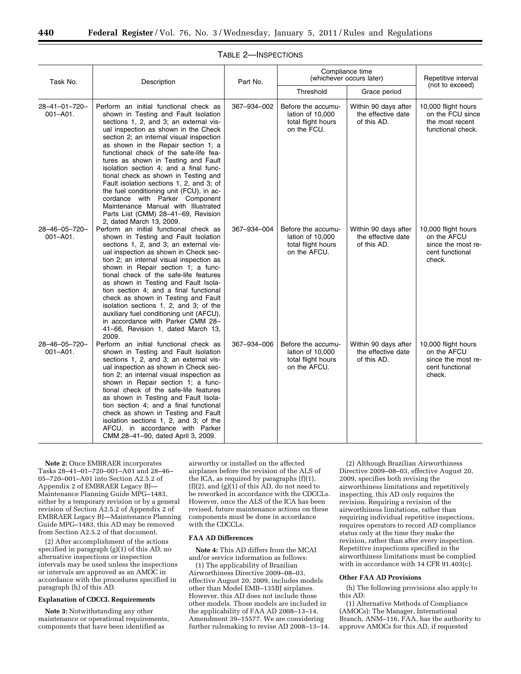| Task No.                       | Description                                                                                                                                                                                                                                                                                                                                                                                                                                                                                                                                                                                                                                                | Part No.    | Compliance time<br>(whichever occurs later)                                  |                                                           | Repetitive interval                                                                   |
|--------------------------------|------------------------------------------------------------------------------------------------------------------------------------------------------------------------------------------------------------------------------------------------------------------------------------------------------------------------------------------------------------------------------------------------------------------------------------------------------------------------------------------------------------------------------------------------------------------------------------------------------------------------------------------------------------|-------------|------------------------------------------------------------------------------|-----------------------------------------------------------|---------------------------------------------------------------------------------------|
|                                |                                                                                                                                                                                                                                                                                                                                                                                                                                                                                                                                                                                                                                                            |             | Threshold                                                                    | Grace period                                              | (not to exceed)                                                                       |
| 28-41-01-720-<br>$001 - A01$ . | Perform an initial functional check as<br>shown in Testing and Fault Isolation<br>sections 1, 2, and 3; an external vis-<br>ual inspection as shown in the Check<br>section 2; an internal visual inspection<br>as shown in the Repair section 1; a<br>functional check of the safe-life fea-<br>tures as shown in Testing and Fault<br>isolation section 4; and a final func-<br>tional check as shown in Testing and<br>Fault isolation sections 1, 2, and 3; of<br>the fuel conditioning unit (FCU), in ac-<br>cordance with Parker Component<br>Maintenance Manual with Illustrated<br>Parts List (CMM) 28-41-69, Revision<br>2, dated March 13, 2009. | 367-934-002 | Before the accumu-<br>lation of 10,000<br>total flight hours<br>on the FCU.  | Within 90 days after<br>the effective date<br>of this AD. | 10,000 flight hours<br>on the FCU since<br>the most recent<br>functional check.       |
| 28-46-05-720-<br>$001 - A01$ . | Perform an initial functional check as<br>shown in Testing and Fault Isolation<br>sections 1, 2, and 3; an external vis-<br>ual inspection as shown in Check sec-<br>tion 2; an internal visual inspection as<br>shown in Repair section 1; a func-<br>tional check of the safe-life features<br>as shown in Testing and Fault Isola-<br>tion section 4; and a final functional<br>check as shown in Testing and Fault<br>isolation sections 1, 2, and 3; of the<br>auxiliary fuel conditioning unit (AFCU),<br>in accordance with Parker CMM 28-<br>41-66, Revision 1, dated March 13,<br>2009.                                                           | 367-934-004 | Before the accumu-<br>lation of 10,000<br>total flight hours<br>on the AFCU. | Within 90 days after<br>the effective date<br>of this AD. | 10,000 flight hours<br>on the AFCU<br>since the most re-<br>cent functional<br>check. |
| 28-46-05-720-<br>$001 - A01.$  | Perform an initial functional check as<br>shown in Testing and Fault Isolation<br>sections 1, 2, and 3; an external vis-<br>ual inspection as shown in Check sec-<br>tion 2; an internal visual inspection as<br>shown in Repair section 1; a func-<br>tional check of the safe-life features<br>as shown in Testing and Fault Isola-<br>tion section 4; and a final functional<br>check as shown in Testing and Fault<br>isolation sections 1, 2, and 3; of the<br>AFCU, in accordance with Parker<br>CMM 28-41-90, dated April 3, 2009.                                                                                                                  | 367-934-006 | Before the accumu-<br>lation of 10,000<br>total flight hours<br>on the AFCU. | Within 90 days after<br>the effective date<br>of this AD. | 10,000 flight hours<br>on the AFCU<br>since the most re-<br>cent functional<br>check. |

## TABLE 2—INSPECTIONS

**Note 2:** Once EMBRAER incorporates Tasks 28–41–01–720–001–A01 and 28–46– 05–720–001–A01 into Section A2.5.2 of Appendix 2 of EMBRAER Legacy BJ— Maintenance Planning Guide MPG–1483, either by a temporary revision or by a general revision of Section A2.5.2 of Appendix 2 of EMBRAER Legacy BJ—Maintenance Planning Guide MPG–1483, this AD may be removed from Section A2.5.2 of that document.

(2) After accomplishment of the actions specified in paragraph (g)(1) of this AD, no alternative inspections or inspection intervals may be used unless the inspections or intervals are approved as an AMOC in accordance with the procedures specified in paragraph (h) of this AD.

## **Explanation of CDCCL Requirements**

**Note 3:** Notwithstanding any other maintenance or operational requirements, components that have been identified as

airworthy or installed on the affected airplanes before the revision of the ALS of the ICA, as required by paragraphs (f)(1), (f)(2), and  $(g)(1)$  of this AD, do not need to be reworked in accordance with the CDCCLs. However, once the ALS of the ICA has been revised, future maintenance actions on these components must be done in accordance with the CDCCLs.

#### **FAA AD Differences**

**Note 4:** This AD differs from the MCAI and/or service information as follows:

(1) The applicability of Brazilian Airworthiness Directive 2009–08–03, effective August 20, 2009, includes models other than Model EMB–135BJ airplanes. However, this AD does not include those other models. Those models are included in the applicability of FAA AD 2008–13–14, Amendment 39–15577. We are considering further rulemaking to revise AD 2008–13–14.

(2) Although Brazilian Airworthiness Directive 2009–08–03, effective August 20, 2009, specifies both revising the airworthiness limitations and repetitively inspecting, this AD only requires the revision. Requiring a revision of the airworthiness limitations, rather than requiring individual repetitive inspections, requires operators to record AD compliance status only at the time they make the revision, rather than after every inspection. Repetitive inspections specified in the airworthiness limitations must be complied with in accordance with 14 CFR  $91.40\overline{3}$ (c).

## **Other FAA AD Provisions**

(h) The following provisions also apply to this AD:

(1) Alternative Methods of Compliance (AMOCs): The Manager, International Branch, ANM–116, FAA, has the authority to approve AMOCs for this AD, if requested